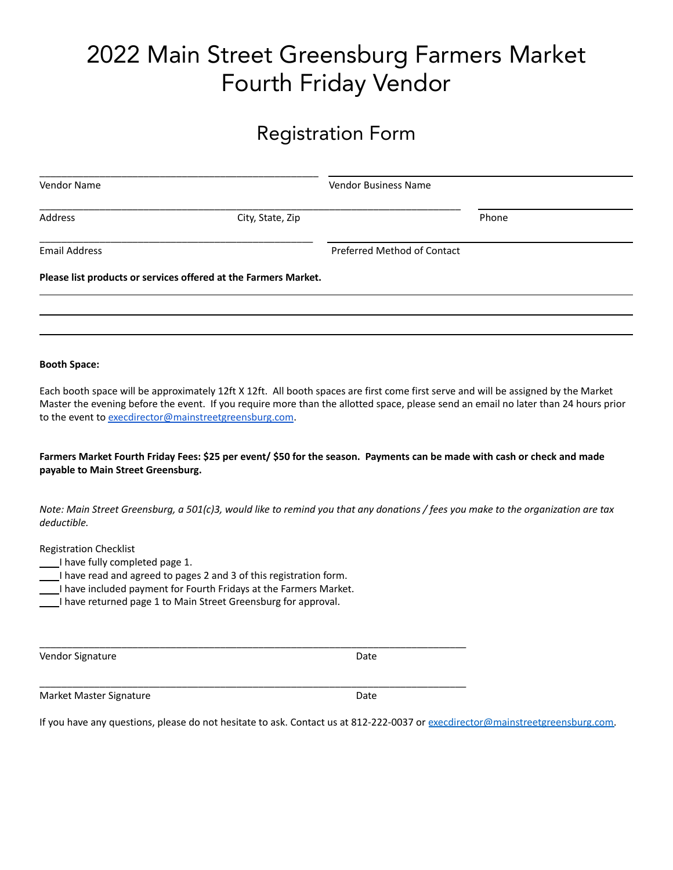# 2022 Main Street Greensburg Farmers Market Fourth Friday Vendor

#### Registration Form

| Vendor Name          |                                                                 | <b>Vendor Business Name</b> |       |
|----------------------|-----------------------------------------------------------------|-----------------------------|-------|
| Address              | City, State, Zip                                                |                             | Phone |
| <b>Email Address</b> |                                                                 | Preferred Method of Contact |       |
|                      | Please list products or services offered at the Farmers Market. |                             |       |
|                      |                                                                 |                             |       |
|                      |                                                                 |                             |       |
|                      |                                                                 |                             |       |

Each booth space will be approximately 12ft X 12ft. All booth spaces are first come first serve and will be assigned by the Market Master the evening before the event. If you require more than the allotted space, please send an email no later than 24 hours prior to the event to [execdirector@mainstreetgreensburg.com](mailto:exec@mainstreetgreensburg.com).

Farmers Market Fourth Friday Fees: \$25 per event/ \$50 for the season. Payments can be made with cash or check and made **payable to Main Street Greensburg.**

Note: Main Street Greensburg, a 501(c)3, would like to remind you that any donations / fees you make to the organization are tax *deductible.*

Registration Checklist

- I have fully completed page 1.
- I have read and agreed to pages 2 and 3 of this registration form.
- I have included payment for Fourth Fridays at the Farmers Market.

\_\_\_\_\_\_\_\_\_\_\_\_\_\_\_\_\_\_\_\_\_\_\_\_\_\_\_\_\_\_\_\_\_\_\_\_\_\_\_\_\_\_\_\_\_\_\_\_\_\_\_\_\_\_\_\_\_\_\_\_\_\_\_\_\_\_\_\_\_\_\_\_\_\_\_\_\_\_

\_\_\_\_\_\_\_\_\_\_\_\_\_\_\_\_\_\_\_\_\_\_\_\_\_\_\_\_\_\_\_\_\_\_\_\_\_\_\_\_\_\_\_\_\_\_\_\_\_\_\_\_\_\_\_\_\_\_\_\_\_\_\_\_\_\_\_\_\_\_\_\_\_\_\_\_\_\_

I have returned page 1 to Main Street Greensburg for approval.

Vendor Signature Date Date Controller and Date Date

Market Master Signature **Date** Date

If you have any questions, please do not hesitate to ask. Contact us at 812-222-0037 or execdirector[@mainstreetgreensburg.com.](mailto:admin@mainstreetgreensburg.com)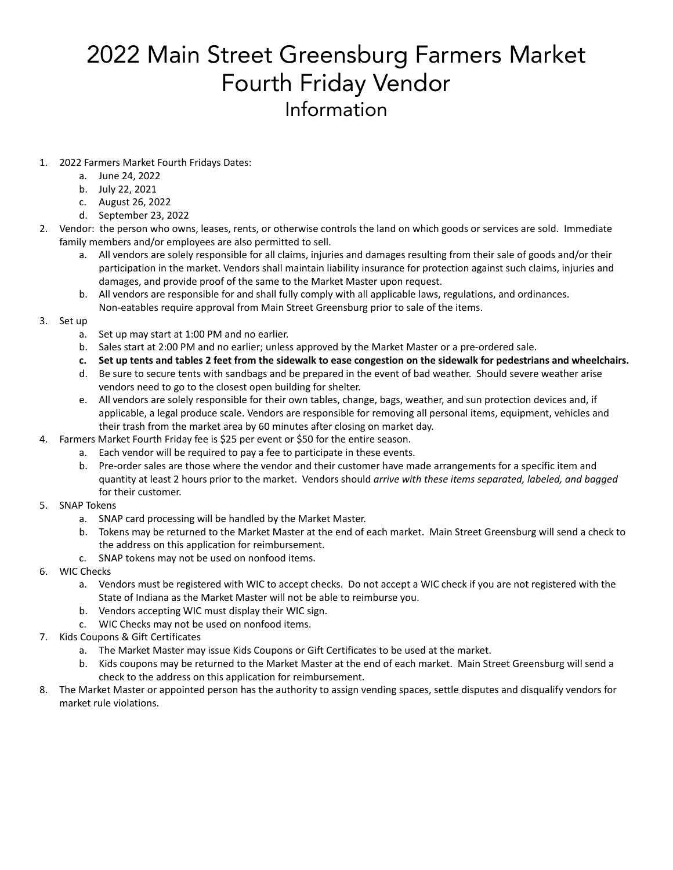## 2022 Main Street Greensburg Farmers Market Fourth Friday Vendor Information

#### 1. 2022 Farmers Market Fourth Fridays Dates:

- a. June 24, 2022
- b. July 22, 2021
- c. August 26, 2022
- d. September 23, 2022
- 2. Vendor: the person who owns, leases, rents, or otherwise controls the land on which goods or services are sold. Immediate family members and/or employees are also permitted to sell.
	- a. All vendors are solely responsible for all claims, injuries and damages resulting from their sale of goods and/or their participation in the market. Vendors shall maintain liability insurance for protection against such claims, injuries and damages, and provide proof of the same to the Market Master upon request.
	- b. All vendors are responsible for and shall fully comply with all applicable laws, regulations, and ordinances. Non-eatables require approval from Main Street Greensburg prior to sale of the items.
- 3. Set up
	- a. Set up may start at 1:00 PM and no earlier.
	- b. Sales start at 2:00 PM and no earlier; unless approved by the Market Master or a pre-ordered sale.
	- c. Set up tents and tables 2 feet from the sidewalk to ease congestion on the sidewalk for pedestrians and wheelchairs.
	- d. Be sure to secure tents with sandbags and be prepared in the event of bad weather. Should severe weather arise vendors need to go to the closest open building for shelter.
	- e. All vendors are solely responsible for their own tables, change, bags, weather, and sun protection devices and, if applicable, a legal produce scale. Vendors are responsible for removing all personal items, equipment, vehicles and their trash from the market area by 60 minutes after closing on market day.
- 4. Farmers Market Fourth Friday fee is \$25 per event or \$50 for the entire season.
	- a. Each vendor will be required to pay a fee to participate in these events.
	- b. Pre-order sales are those where the vendor and their customer have made arrangements for a specific item and quantity at least 2 hours prior to the market. Vendors should *arrive with these items separated, labeled, and bagged* for their customer.
- 5. SNAP Tokens
	- a. SNAP card processing will be handled by the Market Master.
	- b. Tokens may be returned to the Market Master at the end of each market. Main Street Greensburg will send a check to the address on this application for reimbursement.
	- c. SNAP tokens may not be used on nonfood items.
- 6. WIC Checks
	- a. Vendors must be registered with WIC to accept checks. Do not accept a WIC check if you are not registered with the State of Indiana as the Market Master will not be able to reimburse you.
	- b. Vendors accepting WIC must display their WIC sign.
	- c. WIC Checks may not be used on nonfood items.
- 7. Kids Coupons & Gift Certificates
	- a. The Market Master may issue Kids Coupons or Gift Certificates to be used at the market.
	- b. Kids coupons may be returned to the Market Master at the end of each market. Main Street Greensburg will send a check to the address on this application for reimbursement.
- 8. The Market Master or appointed person has the authority to assign vending spaces, settle disputes and disqualify vendors for market rule violations.